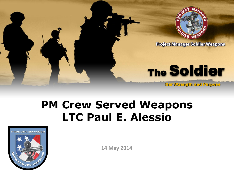

## **PM Crew Served Weapons LTC Paul E. Alessio**



**14 May 2014**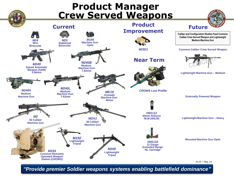

*"Provide premier Soldier weapons systems enabling battlefield dominance"*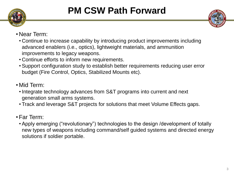



- •Near Term:
	- Continue to increase capability by introducing product improvements including advanced enablers (i.e., optics), lightweight materials, and ammunition improvements to legacy weapons.
	- Continue efforts to inform new requirements.
	- Support configuration study to establish better requirements reducing user error budget (Fire Control, Optics, Stabilized Mounts etc).
- Mid Term:
	- Integrate technology advances from S&T programs into current and next generation small arms systems.
	- Track and leverage S&T projects for solutions that meet Volume Effects gaps.
- •Far Term:
	- Apply emerging ("revolutionary") technologies to the design /development of totally new types of weapons including command/self guided systems and directed energy solutions if soldier portable.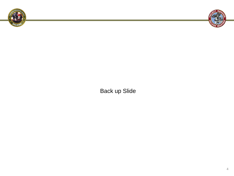



Back up Slide